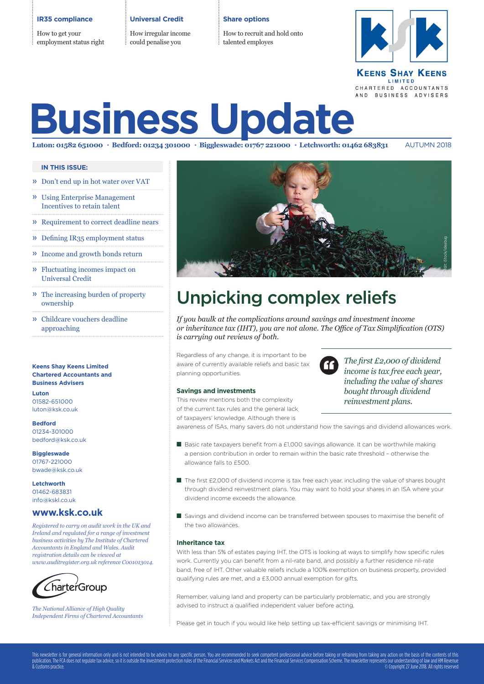### **IR35 compliance**

How to get your employment status right **Universal Credit**

How irregular income could penalise you

### **Share options**

How to recruit and hold onto talented employes



### **KEENS SHAY KEENS** LIMITED CHARTERED ACCOUNTANTS AND BUSINESS ADVISERS

# **Business Update**

Luton: 01582 651000 · Bedford: 01234 301000 · Biggleswade: 01767 221000 · Letchworth: 01462 683831 AUTUMN 2018

## **IN THIS ISSUE:**

- » Don't end up in hot water over VAT
- » Using Enterprise Management Incentives to retain talent
- » Requirement to correct deadline nears
- » Defining IR35 employment status
- » Income and growth bonds return
- » Fluctuating incomes impact on Universal Credit
- » The increasing burden of property ownership
- » Childcare vouchers deadline approaching

## **Chartered Accountants and Business Advisers**

**Luton** 01582-651000 luton@ksk.co.uk

**Bedford** 01234-301000 bedford@ksk.co.uk

**Biggleswade** 01767-221000 bwade@ksk.co.uk

**Letchworth** 01462-683831 info@kskl.co.uk

## **www.ksk.co.uk**

*Registered to carry on audit work in the UK and Ireland and regulated for a range of investment business activities by The Institute of Chartered Accountants in England and Wales. Audit registration details can be viewed at www.auditregister.org.uk reference C001013014.*



*The National Alliance of High Quality Independent Firms of Chartered Accountants*



## Unpicking complex reliefs

*If you baulk at the complications around savings and investment income or inheritance tax (IHT), you are not alone. The Office of Tax Simplification (OTS) is carrying out reviews of both.* 

Regardless of any change, it is important to be aware of currently available reliefs and basic tax planning opportunities.

## **Savings and investments**

This review mentions both the complexity of the current tax rules and the general lack of taxpayers' knowledge. Although there is

*The first £2,000 of dividend income is tax free each year, including the value of shares bought through dividend reinvestment plans.*

awareness of ISAs, many savers do not understand how the savings and dividend allowances work.

- Basic rate taxpayers benefit from a £1,000 savings allowance. It can be worthwhile making a pension contribution in order to remain within the basic rate threshold – otherwise the allowance falls to £500.
- The first £2,000 of dividend income is tax free each year, including the value of shares bought through dividend reinvestment plans. You may want to hold your shares in an ISA where your dividend income exceeds the allowance.
- Savings and dividend income can be transferred between spouses to maximise the benefit of the two allowances.

### **Inheritance tax**

**Keens Shay Keen Limited** Mean the Copyright 27 June 27 American Copyright 27 June 2018. The composity including the value of the composity<br> **Except 27 June 2018.**<br> **Configure 27 American State of the composity of the comp** With less than 5% of estates paying IHT, the OTS is looking at ways to simplify how specific rules work. Currently you can benefit from a nil-rate band, and possibly a further residence nil-rate band, free of IHT. Other valuable reliefs include a 100% exemption on business property, provided qualifying rules are met, and a £3,000 annual exemption for gifts.

Remember, valuing land and property can be particularly problematic, and you are strongly advised to instruct a qualified independent valuer before acting.

Please get in touch if you would like help setting up tax-efficient savings or minimising IHT.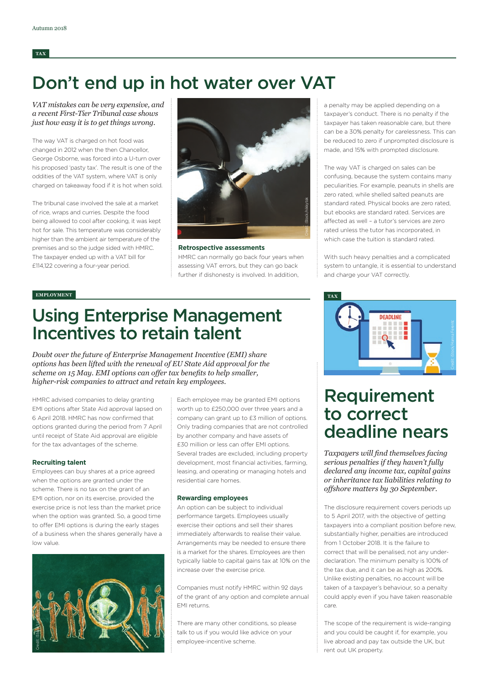## **TAX**

## Don't end up in hot water over VAT

*VAT mistakes can be very expensive, and a recent First-Tier Tribunal case shows just how easy it is to get things wrong.*

The way VAT is charged on hot food was changed in 2012 when the then Chancellor, George Osborne, was forced into a U-turn over his proposed 'pasty tax'. The result is one of the oddities of the VAT system, where VAT is only charged on takeaway food if it is hot when sold.

The tribunal case involved the sale at a market of rice, wraps and curries. Despite the food being allowed to cool after cooking, it was kept hot for sale. This temperature was considerably higher than the ambient air temperature of the premises and so the judge sided with HMRC. The taxpayer ended up with a VAT bill for £114,122 covering a four-year period.



**Retrospective assessments** HMRC can normally go back four years when assessing VAT errors, but they can go back further if dishonesty is involved. In addition,

a penalty may be applied depending on a taxpayer's conduct. There is no penalty if the taxpayer has taken reasonable care, but there can be a 30% penalty for carelessness. This can be reduced to zero if unprompted disclosure is made, and 15% with prompted disclosure.

The way VAT is charged on sales can be confusing, because the system contains many peculiarities. For example, peanuts in shells are zero rated, while shelled salted peanuts are standard rated. Physical books are zero rated, but ebooks are standard rated. Services are affected as well – a tutor's services are zero rated unless the tutor has incorporated, in which case the tuition is standard rated.

With such heavy penalties and a complicated system to untangle, it is essential to understand and charge your VAT correctly.

## **EMPLOYMENT**

## Using Enterprise Management Incentives to retain talent

*Doubt over the future of Enterprise Management Incentive (EMI) share options has been lifted with the renewal of EU State Aid approval for the scheme on 15 May. EMI options can offer tax benefits to help smaller, higher-risk companies to attract and retain key employees.*

HMRC advised companies to delay granting EMI options after State Aid approval lapsed on 6 April 2018. HMRC has now confirmed that options granted during the period from 7 April until receipt of State Aid approval are eligible for the tax advantages of the scheme.

### **Recruiting talent**

Employees can buy shares at a price agreed when the options are granted under the scheme. There is no tax on the grant of an EMI option, nor on its exercise, provided the exercise price is not less than the market price when the option was granted. So, a good time to offer EMI options is during the early stages of a business when the shares generally have a low value.



Each employee may be granted EMI options worth up to £250,000 over three years and a company can grant up to £3 million of options. Only trading companies that are not controlled by another company and have assets of £30 million or less can offer EMI options. Several trades are excluded, including property development, most financial activities, farming, leasing, and operating or managing hotels and residential care homes.

### **Rewarding employees**

An option can be subject to individual performance targets. Employees usually exercise their options and sell their shares immediately afterwards to realise their value. Arrangements may be needed to ensure there is a market for the shares. Employees are then typically liable to capital gains tax at 10% on the increase over the exercise price.

Companies must notify HMRC within 92 days of the grant of any option and complete annual EMI returns.

There are many other conditions, so please talk to us if you would like advice on your employee-incentive scheme.



## Requirement to correct deadline nears

*Taxpayers will find themselves facing serious penalties if they haven't fully declared any income tax, capital gains or inheritance tax liabilities relating to offshore matters by 30 September.* 

The disclosure requirement covers periods up to 5 April 2017, with the objective of getting taxpayers into a compliant position before new, substantially higher, penalties are introduced from 1 October 2018. It is the failure to correct that will be penalised, not any underdeclaration. The minimum penalty is 100% of the tax due, and it can be as high as 200%. Unlike existing penalties, no account will be taken of a taxpayer's behaviour, so a penalty could apply even if you have taken reasonable care.

The scope of the requirement is wide-ranging and you could be caught if, for example, you live abroad and pay tax outside the UK, but rent out UK property.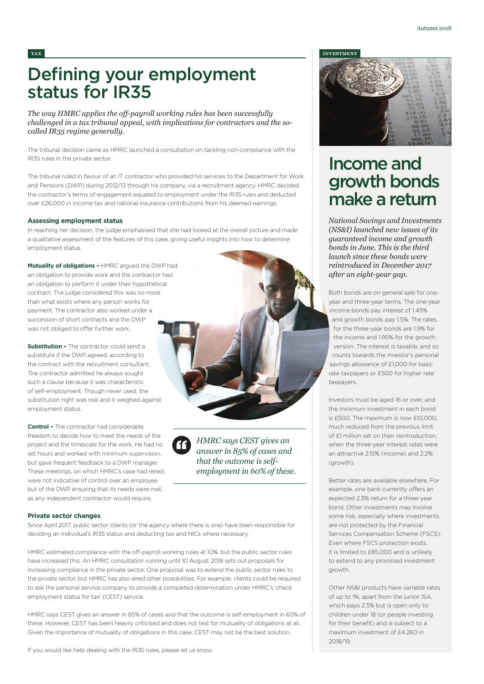## Defining your employment status for IR35

*The way HMRC applies the off-payroll working rules has been successfully challenged in a tax tribunal appeal, with implications for contractors and the socalled IR35 regime generally.* 

The tribunal decision came as HMRC launched a consultation on tackling non-compliance with the IR35 rules in the private sector.

The tribunal ruled in favour of an IT contractor who provided his services to the Department for Work and Pensions (DWP) during 2012/13 through his company, via a recruitment agency. HMRC decided the contractor's terms of engagement equated to employment under the IR35 rules and deducted over £26,000 in income tax and national insurance contributions from his deemed earnings.

### **Assessing employment status**

In reaching her decision, the judge emphasised that she had looked at the overall picture and made a qualitative assessment of the features of this case, giving useful insights into how to determine employment status.

**Mutuality of obligations –** HMRC argued the DWP had an obligation to provide work and the contractor had an obligation to perform it under their hypothetical contract. The judge considered this was no more than what exists where any person works for payment. The contractor also worked under a succession of short contracts and the DWP was not obliged to offer further work.

**Substitution -** The contractor could send a substitute if the DWP agreed, according to the contract with the recruitment consultant. The contractor admitted he always sought such a clause because it was characteristic of self-employment. Though never used, the substitution right was real and it weighed against employment status.

**Control –** The contractor had considerable freedom to decide how to meet the needs of the project and the timescale for the work. He had no set hours and worked with minimum supervision, but gave frequent feedback to a DWP manager. These meetings, on which HMRC's case had relied, were not indicative of control over an employee but of the DWP ensuring that its needs were met, as any independent contractor would require.

*HMRC says CEST gives an answer in 85% of cases and that the outcome is selfemployment in 60% of these.*

Credit: Stock/Index

## **Private sector changes**

Since April 2017, public sector clients (or the agency where there is one) have been responsible for deciding an individual's IR35 status and deducting tax and NICs where necessary.

HMRC estimated compliance with the off-payroll working rules at 10%, but the public sector rules have increased this. An HMRC consultation running until 10 August 2018 sets out proposals for increasing compliance in the private sector. One proposal was to extend the public sector rules to the private sector, but HMRC has also aired other possibilities. For example, clients could be required to ask the personal service company to provide a completed determination under HMRC's 'check employment status for tax' (CEST) service.

HMRC says CEST gives an answer in 85% of cases and that the outcome is self-employment in 60% of these. However, CEST has been heavily criticised and does not test for mutuality of obligations at all. Given the importance of mutuality of obligations in this case, CEST may not be the best solution.

If you would like help dealing with the IR35 rules, please let us know.

### **TAX INVESTMENT**



## Income and growth bonds make a return

*National Savings and Investments (NS&I) launched new issues of its guaranteed income and growth bonds in June. This is the third launch since these bonds were reintroduced in December 2017 after an eight-year gap.* 

Both bonds are on general sale for oneyear and three-year terms. The one-year income bonds pay interest of 1.45% and growth bonds pay 1.5%. The rates for the three-year bonds are 1.9% for the income and 1.95% for the growth version. The interest is taxable, and so counts towards the investor's personal savings allowance of £1,000 for basic rate taxpayers or £500 for higher rate taxpayers.

Investors must be aged 16 or over, and the minimum investment in each bond is £500. The maximum is now £10,000, much reduced from the previous limit of £1 million set on their reintroduction, when the three-year interest rates were an attractive 2.15% (income) and 2.2% (growth).

Better rates are available elsewhere. For example, one bank currently offers an expected 2.3% return for a three-year bond. Other investments may involve some risk, especially where investments are not protected by the Financial Services Compensation Scheme (FSCS). Even where FSCS protection exists, it is limited to £85,000 and is unlikely to extend to any promised investment growth.

Other NS&I products have variable rates of up to 1%, apart from the junior ISA, which pays 2.5% but is open only to children under 18 (or people investing for their benefit) and is subject to a maximum investment of £4,260 in 2018/19.